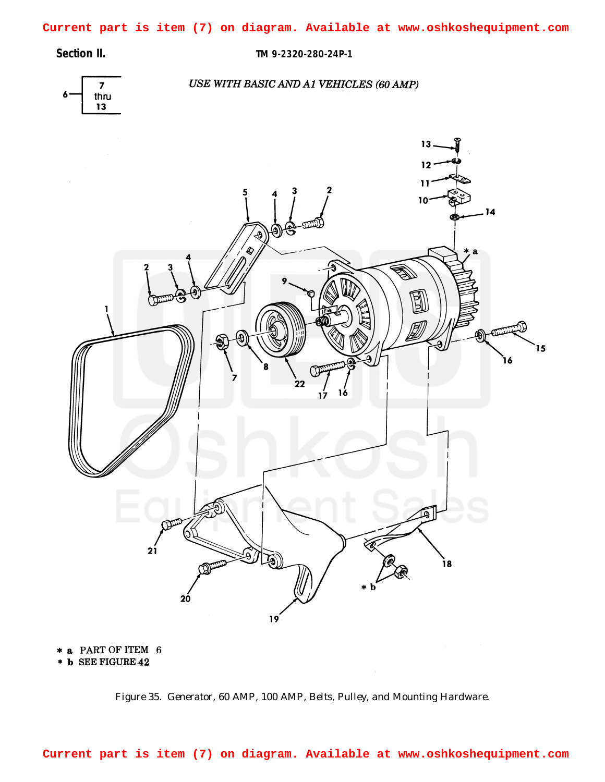<span id="page-0-0"></span>**Current part is item (7) on diagram. Available at www.oshkoshequipment.com**

**Section II. TM 9-2320-280-24P-1**



## USE WITH BASIC AND A1 VEHICLES (60 AMP)



\* a PART OF ITEM 6

\* b SEE FIGURE 42

**Current part is item (7) on diagram. Available at www.oshkoshequipment.com**

*Figure 35. Generator, 60 AMP, 100 AMP, Belts, Pulley, and Mounting Hardware.*